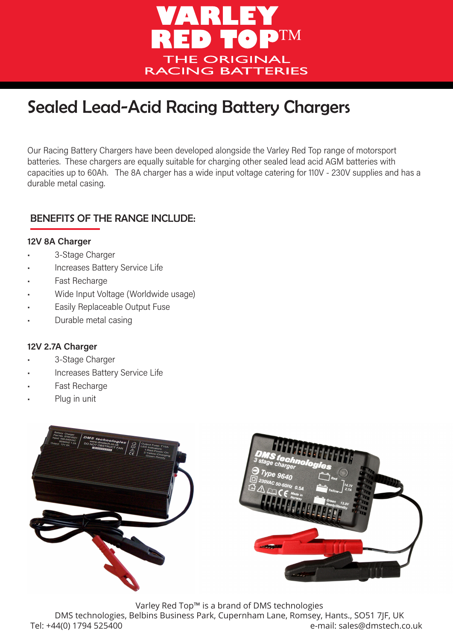

## Sealed Lead-Acid Racing Battery Chargers

Our Racing Battery Chargers have been developed alongside the Varley Red Top range of motorsport batteries. These chargers are equally suitable for charging other sealed lead acid AGM batteries with capacities up to 60Ah. The 8A charger has a wide input voltage catering for 110V - 230V supplies and has a durable metal casing.

### BENEFITS OF THE RANGE INCLUDE:

#### 12V 8A Charger

- 3-Stage Charger
- Increases Battery Service Life
- Fast Recharge
- Wide Input Voltage (Worldwide usage)
- Easily Replaceable Output Fuse
- Durable metal casing

#### 12V 2.7A Charger

- 3-Stage Charger
- Increases Battery Service Life
- Fast Recharge
- Plug in unit



Varley Red Top™ is a brand of DMS technologies

DMS technologies, Belbins Business Park, Cupernham Lane, Romsey, Hants., SO51 7JF, UK Tel: +44(0) 1794 525400 e-mail: sales@dmstech.co.uk